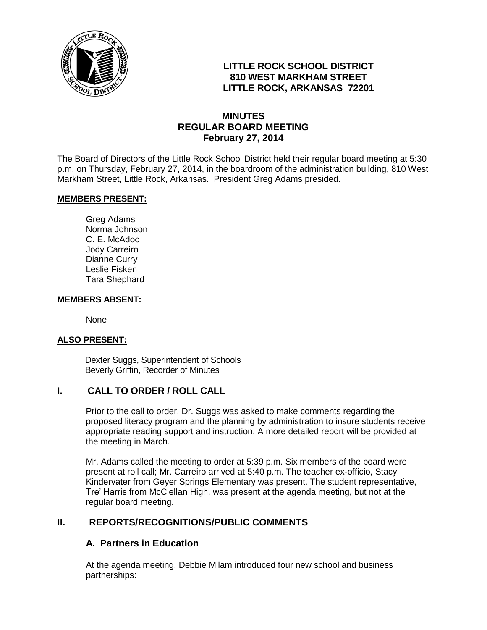

## **LITTLE ROCK SCHOOL DISTRICT 810 WEST MARKHAM STREET LITTLE ROCK, ARKANSAS 72201**

## **MINUTES REGULAR BOARD MEETING February 27, 2014**

The Board of Directors of the Little Rock School District held their regular board meeting at 5:30 p.m. on Thursday, February 27, 2014, in the boardroom of the administration building, 810 West Markham Street, Little Rock, Arkansas. President Greg Adams presided.

#### **MEMBERS PRESENT:**

Greg Adams Norma Johnson C. E. McAdoo Jody Carreiro Dianne Curry Leslie Fisken Tara Shephard

#### **MEMBERS ABSENT:**

None

#### **ALSO PRESENT:**

 Dexter Suggs, Superintendent of Schools Beverly Griffin, Recorder of Minutes

#### **I. CALL TO ORDER / ROLL CALL**

Prior to the call to order, Dr. Suggs was asked to make comments regarding the proposed literacy program and the planning by administration to insure students receive appropriate reading support and instruction. A more detailed report will be provided at the meeting in March.

Mr. Adams called the meeting to order at 5:39 p.m. Six members of the board were present at roll call; Mr. Carreiro arrived at 5:40 p.m. The teacher ex-officio, Stacy Kindervater from Geyer Springs Elementary was present. The student representative, Tre' Harris from McClellan High, was present at the agenda meeting, but not at the regular board meeting.

#### **II. REPORTS/RECOGNITIONS/PUBLIC COMMENTS**

#### **A. Partners in Education**

At the agenda meeting, Debbie Milam introduced four new school and business partnerships: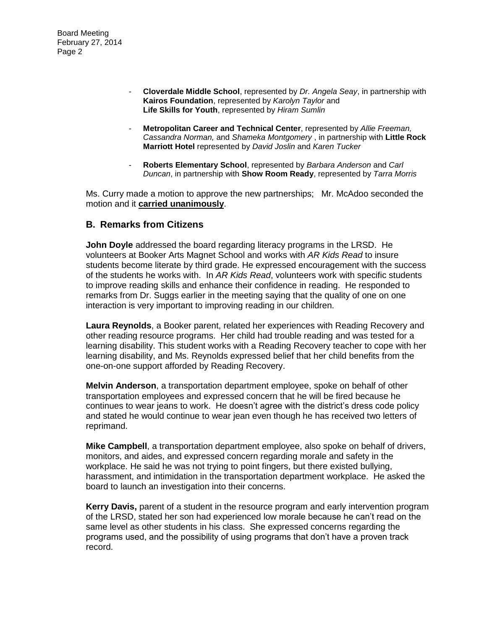- **Cloverdale Middle School**, represented by *Dr. Angela Seay*, in partnership with **Kairos Foundation**, represented by *Karolyn Taylor* and **Life Skills for Youth**, represented by *Hiram Sumlin*
- **Metropolitan Career and Technical Center**, represented by *Allie Freeman, Cassandra Norman,* and *Shameka Montgomery* , in partnership with **Little Rock Marriott Hotel** represented by *David Joslin* and *Karen Tucker*
- **Roberts Elementary School**, represented by *Barbara Anderson* and *Carl Duncan*, in partnership with **Show Room Ready**, represented by *Tarra Morris*

Ms. Curry made a motion to approve the new partnerships; Mr. McAdoo seconded the motion and it **carried unanimously**.

#### **B. Remarks from Citizens**

**John Doyle** addressed the board regarding literacy programs in the LRSD. He volunteers at Booker Arts Magnet School and works with *AR Kids Read* to insure students become literate by third grade. He expressed encouragement with the success of the students he works with. In *AR Kids Read*, volunteers work with specific students to improve reading skills and enhance their confidence in reading. He responded to remarks from Dr. Suggs earlier in the meeting saying that the quality of one on one interaction is very important to improving reading in our children.

**Laura Reynolds**, a Booker parent, related her experiences with Reading Recovery and other reading resource programs. Her child had trouble reading and was tested for a learning disability. This student works with a Reading Recovery teacher to cope with her learning disability, and Ms. Reynolds expressed belief that her child benefits from the one-on-one support afforded by Reading Recovery.

**Melvin Anderson**, a transportation department employee, spoke on behalf of other transportation employees and expressed concern that he will be fired because he continues to wear jeans to work. He doesn't agree with the district's dress code policy and stated he would continue to wear jean even though he has received two letters of reprimand.

**Mike Campbell**, a transportation department employee, also spoke on behalf of drivers, monitors, and aides, and expressed concern regarding morale and safety in the workplace. He said he was not trying to point fingers, but there existed bullying, harassment, and intimidation in the transportation department workplace. He asked the board to launch an investigation into their concerns.

**Kerry Davis,** parent of a student in the resource program and early intervention program of the LRSD, stated her son had experienced low morale because he can't read on the same level as other students in his class. She expressed concerns regarding the programs used, and the possibility of using programs that don't have a proven track record.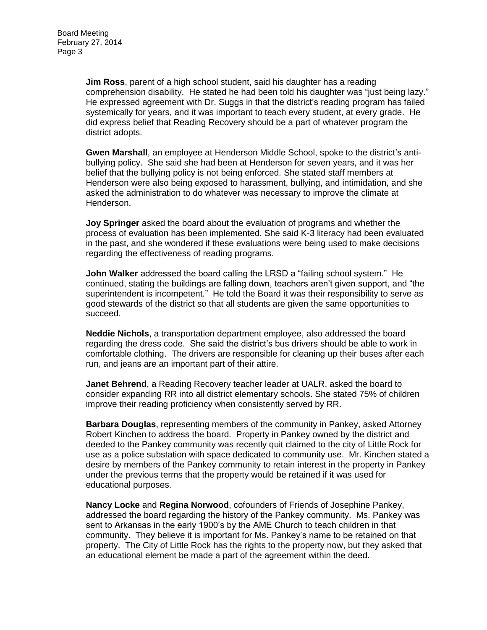**Jim Ross**, parent of a high school student, said his daughter has a reading comprehension disability. He stated he had been told his daughter was "just being lazy." He expressed agreement with Dr. Suggs in that the district's reading program has failed systemically for years, and it was important to teach every student, at every grade. He did express belief that Reading Recovery should be a part of whatever program the district adopts.

**Gwen Marshall**, an employee at Henderson Middle School, spoke to the district's antibullying policy. She said she had been at Henderson for seven years, and it was her belief that the bullying policy is not being enforced. She stated staff members at Henderson were also being exposed to harassment, bullying, and intimidation, and she asked the administration to do whatever was necessary to improve the climate at Henderson.

**Joy Springer** asked the board about the evaluation of programs and whether the process of evaluation has been implemented. She said K-3 literacy had been evaluated in the past, and she wondered if these evaluations were being used to make decisions regarding the effectiveness of reading programs.

**John Walker** addressed the board calling the LRSD a "failing school system." He continued, stating the buildings are falling down, teachers aren't given support, and "the superintendent is incompetent." He told the Board it was their responsibility to serve as good stewards of the district so that all students are given the same opportunities to succeed.

**Neddie Nichols**, a transportation department employee, also addressed the board regarding the dress code. She said the district's bus drivers should be able to work in comfortable clothing. The drivers are responsible for cleaning up their buses after each run, and jeans are an important part of their attire.

**Janet Behrend**, a Reading Recovery teacher leader at UALR, asked the board to consider expanding RR into all district elementary schools. She stated 75% of children improve their reading proficiency when consistently served by RR.

**Barbara Douglas**, representing members of the community in Pankey, asked Attorney Robert Kinchen to address the board. Property in Pankey owned by the district and deeded to the Pankey community was recently quit claimed to the city of Little Rock for use as a police substation with space dedicated to community use. Mr. Kinchen stated a desire by members of the Pankey community to retain interest in the property in Pankey under the previous terms that the property would be retained if it was used for educational purposes.

**Nancy Locke** and **Regina Norwood**, cofounders of Friends of Josephine Pankey, addressed the board regarding the history of the Pankey community. Ms. Pankey was sent to Arkansas in the early 1900's by the AME Church to teach children in that community. They believe it is important for Ms. Pankey's name to be retained on that property. The City of Little Rock has the rights to the property now, but they asked that an educational element be made a part of the agreement within the deed.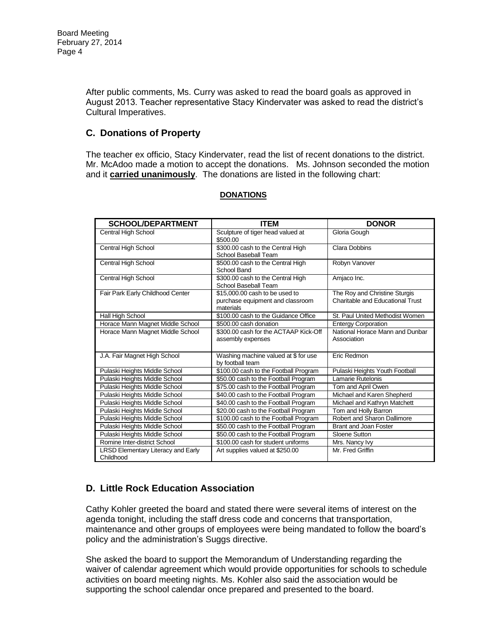After public comments, Ms. Curry was asked to read the board goals as approved in August 2013. Teacher representative Stacy Kindervater was asked to read the district's Cultural Imperatives.

## **C. Donations of Property**

The teacher ex officio, Stacy Kindervater, read the list of recent donations to the district. Mr. McAdoo made a motion to accept the donations. Ms. Johnson seconded the motion and it **carried unanimously**. The donations are listed in the following chart:

| <b>SCHOOL/DEPARTMENT</b>                               | <b>ITEM</b>                                                                     | <b>DONOR</b>                                                      |
|--------------------------------------------------------|---------------------------------------------------------------------------------|-------------------------------------------------------------------|
| Central High School                                    | Sculpture of tiger head valued at<br>\$500.00                                   | Gloria Gough                                                      |
| Central High School                                    | \$300.00 cash to the Central High<br>School Baseball Team                       | <b>Clara Dobbins</b>                                              |
| Central High School                                    | \$500.00 cash to the Central High<br>School Band                                | Robyn Vanover                                                     |
| Central High School                                    | \$300.00 cash to the Central High<br>School Baseball Team                       | Amjaco Inc.                                                       |
| Fair Park Early Childhood Center                       | \$15,000,00 cash to be used to<br>purchase equipment and classroom<br>materials | The Roy and Christine Sturgis<br>Charitable and Educational Trust |
| Hall High School                                       | \$100.00 cash to the Guidance Office                                            | St. Paul United Methodist Women                                   |
| Horace Mann Magnet Middle School                       | \$500.00 cash donation                                                          | <b>Entergy Corporation</b>                                        |
| Horace Mann Magnet Middle School                       | \$300.00 cash for the ACTAAP Kick-Off<br>assembly expenses                      | National Horace Mann and Dunbar<br>Association                    |
| J.A. Fair Magnet High School                           | Washing machine valued at \$ for use<br>by football team                        | Eric Redmon                                                       |
| Pulaski Heights Middle School                          | \$100.00 cash to the Football Program                                           | Pulaski Heights Youth Football                                    |
| Pulaski Heights Middle School                          | \$50.00 cash to the Football Program                                            | Lamarie Rutelonis                                                 |
| Pulaski Heights Middle School                          | \$75.00 cash to the Football Program                                            | Tom and April Owen                                                |
| Pulaski Heights Middle School                          | \$40.00 cash to the Football Program                                            | Michael and Karen Shepherd                                        |
| Pulaski Heights Middle School                          | \$40.00 cash to the Football Program                                            | Michael and Kathryn Matchett                                      |
| Pulaski Heights Middle School                          | \$20.00 cash to the Football Program                                            | Tom and Holly Barron                                              |
| Pulaski Heights Middle School                          | \$100.00 cash to the Football Program                                           | Robert and Sharon Dallimore                                       |
| Pulaski Heights Middle School                          | \$50.00 cash to the Football Program                                            | Brant and Joan Foster                                             |
| Pulaski Heights Middle School                          | \$50.00 cash to the Football Program                                            | Sloene Sutton                                                     |
| Romine Inter-district School                           | \$100.00 cash for student uniforms                                              | Mrs. Nancy lvy                                                    |
| <b>LRSD Elementary Literacy and Early</b><br>Childhood | Art supplies valued at \$250.00                                                 | Mr. Fred Griffin                                                  |

#### **DONATIONS**

# **D. Little Rock Education Association**

Cathy Kohler greeted the board and stated there were several items of interest on the agenda tonight, including the staff dress code and concerns that transportation, maintenance and other groups of employees were being mandated to follow the board's policy and the administration's Suggs directive.

She asked the board to support the Memorandum of Understanding regarding the waiver of calendar agreement which would provide opportunities for schools to schedule activities on board meeting nights. Ms. Kohler also said the association would be supporting the school calendar once prepared and presented to the board.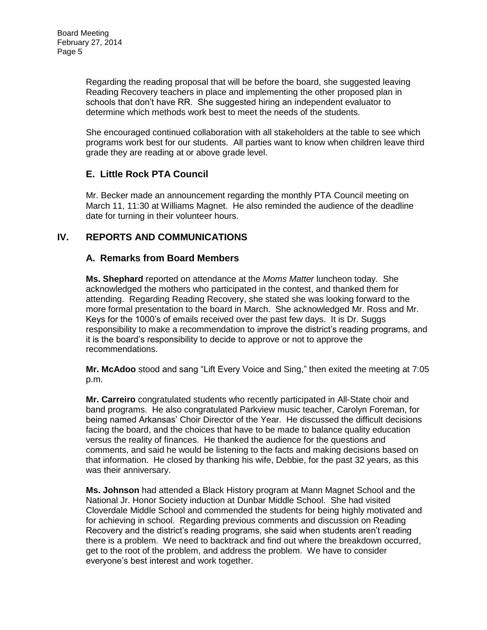Regarding the reading proposal that will be before the board, she suggested leaving Reading Recovery teachers in place and implementing the other proposed plan in schools that don't have RR. She suggested hiring an independent evaluator to determine which methods work best to meet the needs of the students.

She encouraged continued collaboration with all stakeholders at the table to see which programs work best for our students. All parties want to know when children leave third grade they are reading at or above grade level.

## **E. Little Rock PTA Council**

Mr. Becker made an announcement regarding the monthly PTA Council meeting on March 11, 11:30 at Williams Magnet. He also reminded the audience of the deadline date for turning in their volunteer hours.

## **IV. REPORTS AND COMMUNICATIONS**

## **A. Remarks from Board Members**

**Ms. Shephard** reported on attendance at the *Moms Matter* luncheon today. She acknowledged the mothers who participated in the contest, and thanked them for attending. Regarding Reading Recovery, she stated she was looking forward to the more formal presentation to the board in March. She acknowledged Mr. Ross and Mr. Keys for the 1000's of emails received over the past few days. It is Dr. Suggs responsibility to make a recommendation to improve the district's reading programs, and it is the board's responsibility to decide to approve or not to approve the recommendations.

**Mr. McAdoo** stood and sang "Lift Every Voice and Sing," then exited the meeting at 7:05 p.m.

**Mr. Carreiro** congratulated students who recently participated in All-State choir and band programs. He also congratulated Parkview music teacher, Carolyn Foreman, for being named Arkansas' Choir Director of the Year. He discussed the difficult decisions facing the board, and the choices that have to be made to balance quality education versus the reality of finances. He thanked the audience for the questions and comments, and said he would be listening to the facts and making decisions based on that information. He closed by thanking his wife, Debbie, for the past 32 years, as this was their anniversary.

**Ms. Johnson** had attended a Black History program at Mann Magnet School and the National Jr. Honor Society induction at Dunbar Middle School. She had visited Cloverdale Middle School and commended the students for being highly motivated and for achieving in school. Regarding previous comments and discussion on Reading Recovery and the district's reading programs, she said when students aren't reading there is a problem. We need to backtrack and find out where the breakdown occurred, get to the root of the problem, and address the problem. We have to consider everyone's best interest and work together.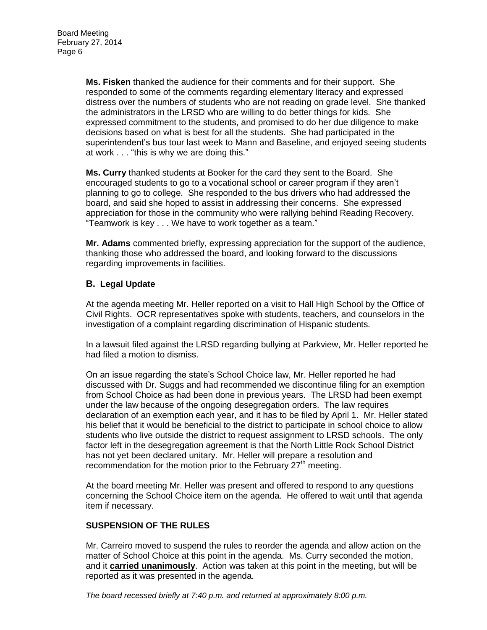**Ms. Fisken** thanked the audience for their comments and for their support. She responded to some of the comments regarding elementary literacy and expressed distress over the numbers of students who are not reading on grade level. She thanked the administrators in the LRSD who are willing to do better things for kids. She expressed commitment to the students, and promised to do her due diligence to make decisions based on what is best for all the students. She had participated in the superintendent's bus tour last week to Mann and Baseline, and enjoyed seeing students at work . . . "this is why we are doing this."

**Ms. Curry** thanked students at Booker for the card they sent to the Board. She encouraged students to go to a vocational school or career program if they aren't planning to go to college. She responded to the bus drivers who had addressed the board, and said she hoped to assist in addressing their concerns. She expressed appreciation for those in the community who were rallying behind Reading Recovery. "Teamwork is key . . . We have to work together as a team."

**Mr. Adams** commented briefly, expressing appreciation for the support of the audience, thanking those who addressed the board, and looking forward to the discussions regarding improvements in facilities.

### **B. Legal Update**

At the agenda meeting Mr. Heller reported on a visit to Hall High School by the Office of Civil Rights. OCR representatives spoke with students, teachers, and counselors in the investigation of a complaint regarding discrimination of Hispanic students.

In a lawsuit filed against the LRSD regarding bullying at Parkview, Mr. Heller reported he had filed a motion to dismiss.

On an issue regarding the state's School Choice law, Mr. Heller reported he had discussed with Dr. Suggs and had recommended we discontinue filing for an exemption from School Choice as had been done in previous years. The LRSD had been exempt under the law because of the ongoing desegregation orders. The law requires declaration of an exemption each year, and it has to be filed by April 1. Mr. Heller stated his belief that it would be beneficial to the district to participate in school choice to allow students who live outside the district to request assignment to LRSD schools. The only factor left in the desegregation agreement is that the North Little Rock School District has not yet been declared unitary. Mr. Heller will prepare a resolution and recommendation for the motion prior to the February  $27<sup>th</sup>$  meeting.

At the board meeting Mr. Heller was present and offered to respond to any questions concerning the School Choice item on the agenda. He offered to wait until that agenda item if necessary.

#### **SUSPENSION OF THE RULES**

Mr. Carreiro moved to suspend the rules to reorder the agenda and allow action on the matter of School Choice at this point in the agenda. Ms. Curry seconded the motion, and it **carried unanimously**. Action was taken at this point in the meeting, but will be reported as it was presented in the agenda.

*The board recessed briefly at 7:40 p.m. and returned at approximately 8:00 p.m.*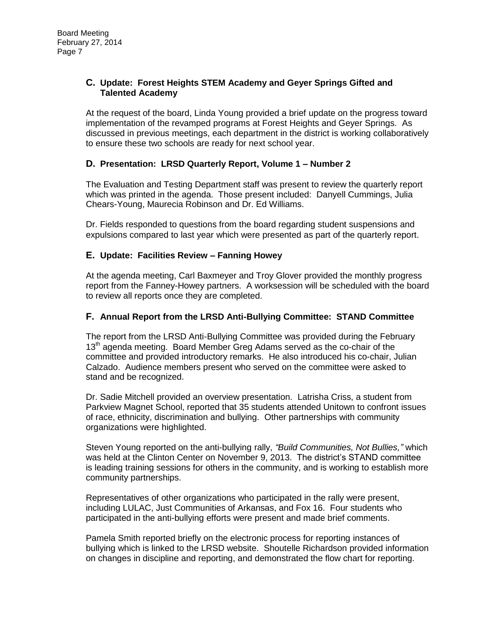### **C. Update: Forest Heights STEM Academy and Geyer Springs Gifted and Talented Academy**

At the request of the board, Linda Young provided a brief update on the progress toward implementation of the revamped programs at Forest Heights and Geyer Springs. As discussed in previous meetings, each department in the district is working collaboratively to ensure these two schools are ready for next school year.

### **D. Presentation: LRSD Quarterly Report, Volume 1 – Number 2**

The Evaluation and Testing Department staff was present to review the quarterly report which was printed in the agenda. Those present included: Danyell Cummings, Julia Chears-Young, Maurecia Robinson and Dr. Ed Williams.

Dr. Fields responded to questions from the board regarding student suspensions and expulsions compared to last year which were presented as part of the quarterly report.

#### **E. Update: Facilities Review – Fanning Howey**

At the agenda meeting, Carl Baxmeyer and Troy Glover provided the monthly progress report from the Fanney-Howey partners. A worksession will be scheduled with the board to review all reports once they are completed.

#### **F. Annual Report from the LRSD Anti-Bullying Committee: STAND Committee**

The report from the LRSD Anti-Bullying Committee was provided during the February 13<sup>th</sup> agenda meeting. Board Member Greg Adams served as the co-chair of the committee and provided introductory remarks. He also introduced his co-chair, Julian Calzado. Audience members present who served on the committee were asked to stand and be recognized.

Dr. Sadie Mitchell provided an overview presentation. Latrisha Criss, a student from Parkview Magnet School, reported that 35 students attended Unitown to confront issues of race, ethnicity, discrimination and bullying. Other partnerships with community organizations were highlighted.

Steven Young reported on the anti-bullying rally, *"Build Communities, Not Bullies,"* which was held at the Clinton Center on November 9, 2013. The district's STAND committee is leading training sessions for others in the community, and is working to establish more community partnerships.

Representatives of other organizations who participated in the rally were present, including LULAC, Just Communities of Arkansas, and Fox 16. Four students who participated in the anti-bullying efforts were present and made brief comments.

Pamela Smith reported briefly on the electronic process for reporting instances of bullying which is linked to the LRSD website. Shoutelle Richardson provided information on changes in discipline and reporting, and demonstrated the flow chart for reporting.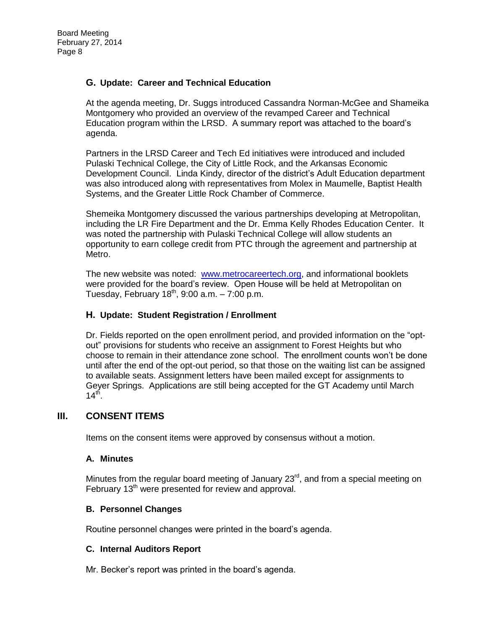### **G. Update: Career and Technical Education**

At the agenda meeting, Dr. Suggs introduced Cassandra Norman-McGee and Shameika Montgomery who provided an overview of the revamped Career and Technical Education program within the LRSD. A summary report was attached to the board's agenda.

Partners in the LRSD Career and Tech Ed initiatives were introduced and included Pulaski Technical College, the City of Little Rock, and the Arkansas Economic Development Council. Linda Kindy, director of the district's Adult Education department was also introduced along with representatives from Molex in Maumelle, Baptist Health Systems, and the Greater Little Rock Chamber of Commerce.

Shemeika Montgomery discussed the various partnerships developing at Metropolitan, including the LR Fire Department and the Dr. Emma Kelly Rhodes Education Center. It was noted the partnership with Pulaski Technical College will allow students an opportunity to earn college credit from PTC through the agreement and partnership at Metro.

The new website was noted: [www.metrocareertech.org,](http://www.metrocareertech.org/) and informational booklets were provided for the board's review. Open House will be held at Metropolitan on Tuesday, February  $18<sup>th</sup>$ , 9:00 a.m.  $-7:00$  p.m.

#### **H. Update: Student Registration / Enrollment**

Dr. Fields reported on the open enrollment period, and provided information on the "optout" provisions for students who receive an assignment to Forest Heights but who choose to remain in their attendance zone school. The enrollment counts won't be done until after the end of the opt-out period, so that those on the waiting list can be assigned to available seats. Assignment letters have been mailed except for assignments to Geyer Springs. Applications are still being accepted for the GT Academy until March  $14<sup>th</sup>$ .

## **III. CONSENT ITEMS**

Items on the consent items were approved by consensus without a motion.

#### **A. Minutes**

Minutes from the regular board meeting of January  $23<sup>rd</sup>$ , and from a special meeting on February  $13<sup>th</sup>$  were presented for review and approval.

#### **B. Personnel Changes**

Routine personnel changes were printed in the board's agenda.

#### **C. Internal Auditors Report**

Mr. Becker's report was printed in the board's agenda.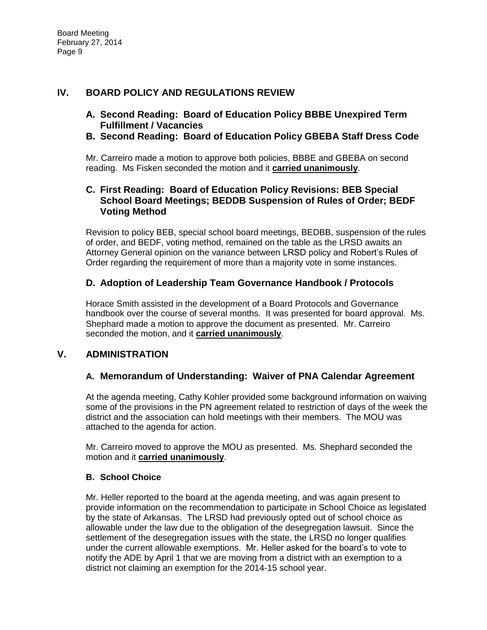## **IV. BOARD POLICY AND REGULATIONS REVIEW**

- **A. Second Reading: Board of Education Policy BBBE Unexpired Term Fulfillment / Vacancies**
- **B. Second Reading: Board of Education Policy GBEBA Staff Dress Code**

Mr. Carreiro made a motion to approve both policies, BBBE and GBEBA on second reading. Ms Fisken seconded the motion and it **carried unanimously**.

## **C. First Reading: Board of Education Policy Revisions: BEB Special School Board Meetings; BEDDB Suspension of Rules of Order; BEDF Voting Method**

Revision to policy BEB, special school board meetings, BEDBB, suspension of the rules of order, and BEDF, voting method, remained on the table as the LRSD awaits an Attorney General opinion on the variance between LRSD policy and Robert's Rules of Order regarding the requirement of more than a majority vote in some instances.

## **D. Adoption of Leadership Team Governance Handbook / Protocols**

Horace Smith assisted in the development of a Board Protocols and Governance handbook over the course of several months. It was presented for board approval. Ms. Shephard made a motion to approve the document as presented. Mr. Carreiro seconded the motion, and it **carried unanimously**.

# **V. ADMINISTRATION**

# **A. Memorandum of Understanding: Waiver of PNA Calendar Agreement**

At the agenda meeting, Cathy Kohler provided some background information on waiving some of the provisions in the PN agreement related to restriction of days of the week the district and the association can hold meetings with their members. The MOU was attached to the agenda for action.

Mr. Carreiro moved to approve the MOU as presented. Ms. Shephard seconded the motion and it **carried unanimously**.

#### **B. School Choice**

Mr. Heller reported to the board at the agenda meeting, and was again present to provide information on the recommendation to participate in School Choice as legislated by the state of Arkansas. The LRSD had previously opted out of school choice as allowable under the law due to the obligation of the desegregation lawsuit. Since the settlement of the desegregation issues with the state, the LRSD no longer qualifies under the current allowable exemptions. Mr. Heller asked for the board's to vote to notify the ADE by April 1 that we are moving from a district with an exemption to a district not claiming an exemption for the 2014-15 school year.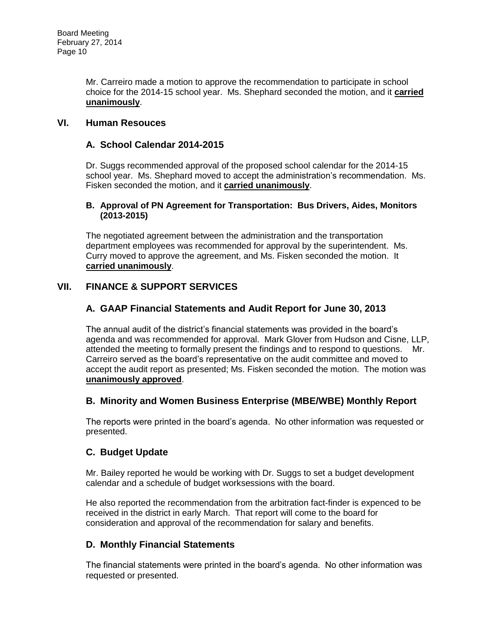Mr. Carreiro made a motion to approve the recommendation to participate in school choice for the 2014-15 school year. Ms. Shephard seconded the motion, and it **carried unanimously**.

## **VI. Human Resouces**

### **A. School Calendar 2014-2015**

Dr. Suggs recommended approval of the proposed school calendar for the 2014-15 school year. Ms. Shephard moved to accept the administration's recommendation. Ms. Fisken seconded the motion, and it **carried unanimously**.

#### **B. Approval of PN Agreement for Transportation: Bus Drivers, Aides, Monitors (2013-2015)**

The negotiated agreement between the administration and the transportation department employees was recommended for approval by the superintendent. Ms. Curry moved to approve the agreement, and Ms. Fisken seconded the motion. It **carried unanimously**.

## **VII. FINANCE & SUPPORT SERVICES**

### **A. GAAP Financial Statements and Audit Report for June 30, 2013**

The annual audit of the district's financial statements was provided in the board's agenda and was recommended for approval. Mark Glover from Hudson and Cisne, LLP, attended the meeting to formally present the findings and to respond to questions. Mr. Carreiro served as the board's representative on the audit committee and moved to accept the audit report as presented; Ms. Fisken seconded the motion. The motion was **unanimously approved**.

#### **B. Minority and Women Business Enterprise (MBE/WBE) Monthly Report**

The reports were printed in the board's agenda. No other information was requested or presented.

## **C. Budget Update**

Mr. Bailey reported he would be working with Dr. Suggs to set a budget development calendar and a schedule of budget worksessions with the board.

He also reported the recommendation from the arbitration fact-finder is expenced to be received in the district in early March. That report will come to the board for consideration and approval of the recommendation for salary and benefits.

## **D. Monthly Financial Statements**

The financial statements were printed in the board's agenda. No other information was requested or presented.